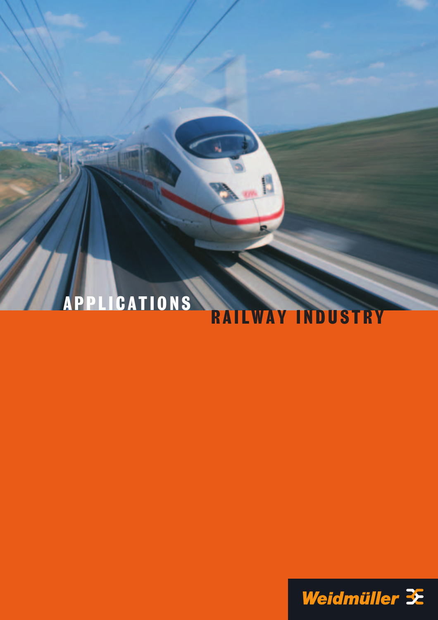# APPLICATIONS RAILWAY INDUSTRY

8

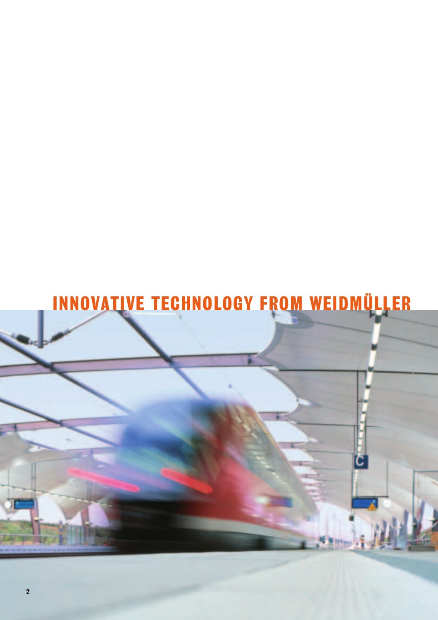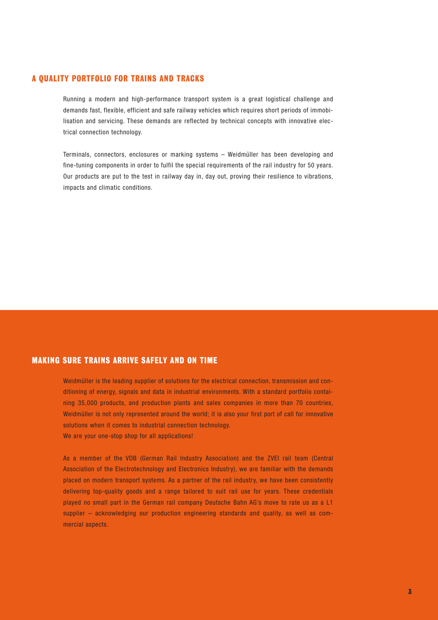#### A QUALITY PORTFOLIO FOR TRAINS AND TRACKS

Running a modern and high-performance transport system is a great logistical challenge and demands fast, flexible, efficient and safe railway vehicles which requires short periods of immobilisation and servicing. These demands are reflected by technical concepts with innovative electrical connection technology.

Terminals, connectors, enclosures or marking systems – Weidmüller has been developing and fine-tuning components in order to fulfil the special requirements of the rail industry for 50 years. Our products are put to the test in railway day in, day out, proving their resilience to vibrations, impacts and climatic conditions.

#### MAKING SURE TRAINS ARRIVE SAFELY AND ON TIME

Weidmüller is the leading supplier of solutions for the electrical connection, transmission and conditioning of energy, signals and data in industrial environments. With a standard portfolio containing 35,000 products, and production plants and sales companies in more than 70 countries, Weidmüller is not only represented around the world; it is also your first port of call for innovative solutions when it comes to industrial connection technology. We are your one-stop shop for all applications!

As a member of the VDB (German Rail Industry Association) and the ZVEI rail team (Central Association of the Electrotechnology and Electronics Industry), we are familiar with the demands placed on modern transport systems. As a partner of the rail industry, we have been consistently delivering top-quality goods and a range tailored to suit rail use for years. These credentials played no small part in the German rail company Deutsche Bahn AG's move to rate us as a L1 supplier – acknowledging our production engineering standards and quality, as well as commercial aspects.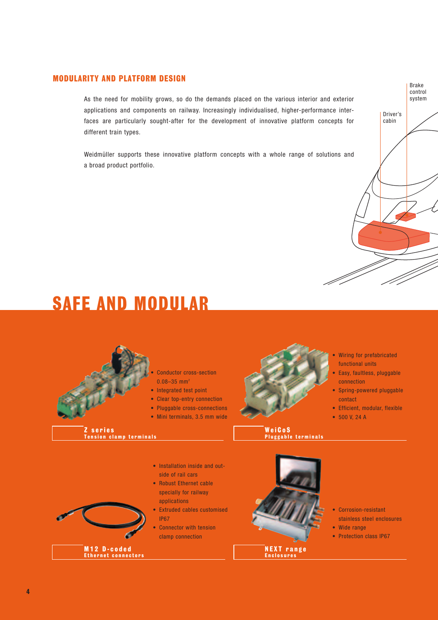#### MODULARITY AND PLATFORM DESIGN

As the need for mobility grows, so do the demands placed on the various interior and exterior applications and components on railway. Increasingly individualised, higher-performance interfaces are particularly sought-after for the development of innovative platform concepts for different train types.

Weidmüller supports these innovative platform concepts with a whole range of solutions and a broad product portfolio.



## SAFE AND MODULAR

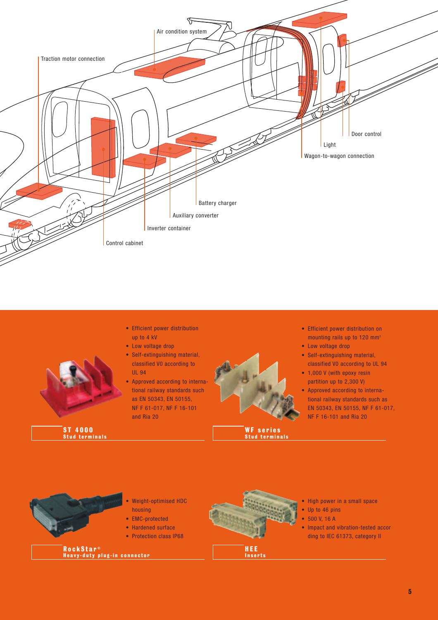

ST 4000 Stud terminals

- Efficient power distribution up to 4 kV
- Low voltage drop
- Self-extinguishing material, classified V0 according to UL 94
- Approved according to international railway standards such as EN 50343, EN 50155, NF F 61-017, NF F 16-101 and Ria 20
- 

WF series Stud terminals

- Efficient power distribution on mounting rails up to 120 mm2
- Low voltage drop
- Self-extinguishing material, classified V0 according to UL 94
- 1,000 V (with epoxy resin partition up to 2,300 V)
- Approved according to international railway standards such as EN 50343, EN 50155, NF F 61-017, NF F 16-101 and Ria 20

![](_page_4_Picture_14.jpeg)

- Weight-optimised HDC housing
- EMC-protected
- Hardened surface
- Protection class IP68

RockStar<sup>®</sup> Heavy-duty plug-in connector

![](_page_4_Picture_20.jpeg)

- High power in a small space
- Up to 46 pins
- 500 V, 16 A
- Impact and vibration-tested accor ding to IEC 61373, category II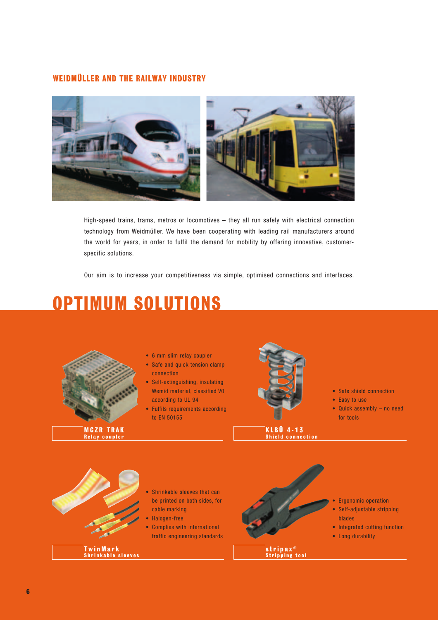#### WEIDMÜLLER AND THE RAILWAY INDUSTRY

![](_page_5_Picture_1.jpeg)

High-speed trains, trams, metros or locomotives – they all run safely with electrical connection technology from Weidmüller. We have been cooperating with leading rail manufacturers around the world for years, in order to fulfil the demand for mobility by offering innovative, customerspecific solutions.

Our aim is to increase your competitiveness via simple, optimised connections and interfaces.

## OPTIMUM SOLUTIONS

![](_page_5_Picture_5.jpeg)

MCZR TRAK Relay coupler

- 6 mm slim relay coupler
- Safe and quick tension clamp connection
- Self-extinguishing, insulating Wemid material, classified V0 according to UL 94
- Fulfils requirements according to EN 50155

![](_page_5_Picture_11.jpeg)

KLBÜ 4-13 Shield connection

- Safe shield connection
- Easy to use
- Quick assembly no need for tools

![](_page_5_Picture_16.jpeg)

- Shrinkable sleeves that can be printed on both sides, for cable marking
- Halogen-free
- Complies with international traffic engineering standards

stripax<sup>®</sup>

Stripping tool

- Ergonomic operation
	- Self-adjustable stripping blades
- Integrated cutting function
- Long durability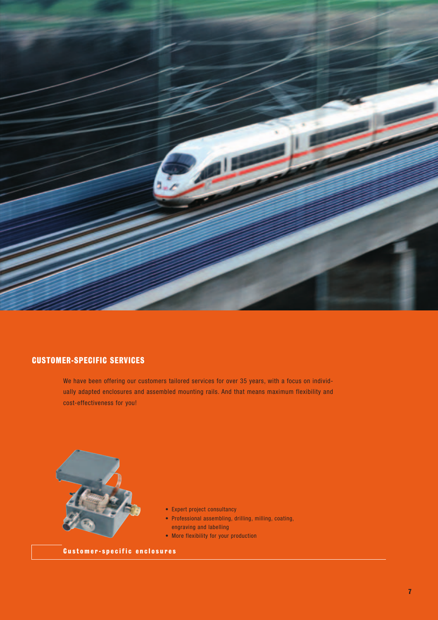![](_page_6_Picture_0.jpeg)

#### CUSTOMER-SPECIFIC SERVICES

We have been offering our customers tailored services for over 35 years, with a focus on individually adapted enclosures and assembled mounting rails. And that means maximum flexibility and cost-effectiveness for you!

![](_page_6_Picture_3.jpeg)

- Expert project consultancy
- Professional assembling, drilling, milling, coating, engraving and labelling
- More flexibility for your production

Customer-specific enclosures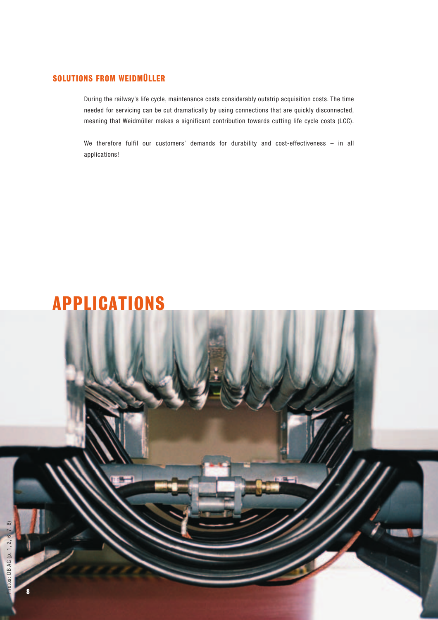### SOLUTIONS FROM WEIDMÜLLER

During the railway's life cycle, maintenance costs considerably outstrip acquisition costs. The time needed for servicing can be cut dramatically by using connections that are quickly disconnected, meaning that Weidmüller makes a significant contribution towards cutting life cycle costs (LCC).

We therefore fulfil our customers' demands for durability and cost-effectiveness – in all applications!

![](_page_7_Picture_3.jpeg)

8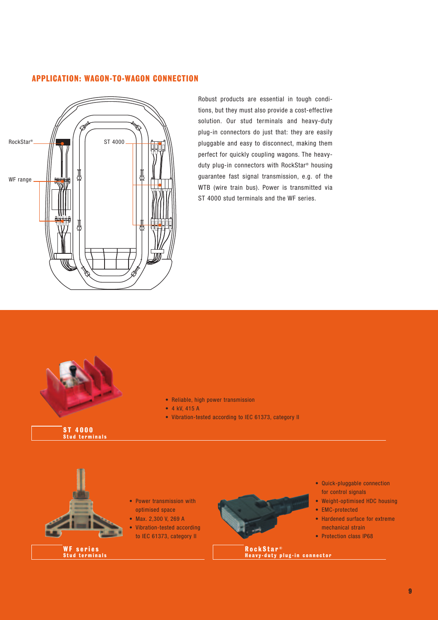#### APPLICATION: WAGON-TO-WAGON CONNECTION

![](_page_8_Figure_1.jpeg)

Robust products are essential in tough conditions, but they must also provide a cost-effective solution. Our stud terminals and heavy-duty plug-in connectors do just that: they are easily pluggable and easy to disconnect, making them perfect for quickly coupling wagons. The heavyduty plug-in connectors with RockStar® housing guarantee fast signal transmission, e.g. of the WTB (wire train bus). Power is transmitted via ST 4000 stud terminals and the WF series.

![](_page_8_Picture_3.jpeg)

#### ST 4000 Stud terminals

- Reliable, high power transmission
- 4 kV, 415 A
- Vibration-tested according to IEC 61373, category II

![](_page_8_Picture_8.jpeg)

Stud terminals

- Power transmission with optimised space
- Max. 2,300 V, 269 A
- Vibration-tested according to IEC 61373, category II

![](_page_8_Picture_12.jpeg)

- Quick-pluggable connection for control signals
- Weight-optimised HDC housing
- EMC-protected
- Hardened surface for extreme mechanical strain
- Protection class IP68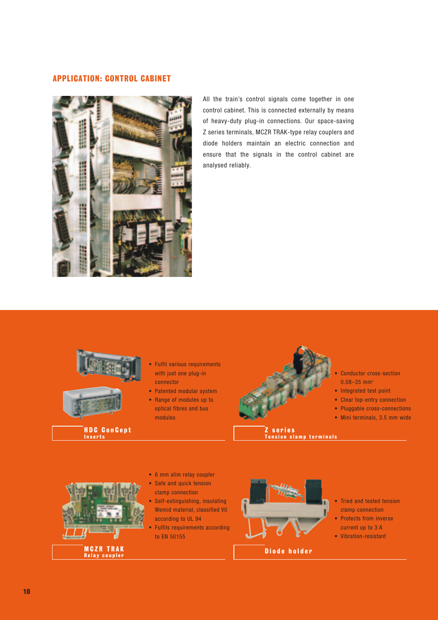#### APPLICATION: CONTROL CABINET

![](_page_9_Picture_1.jpeg)

All the train's control signals come together in one control cabinet. This is connected externally by means of heavy-duty plug-in connections. Our space-saving Z series terminals, MCZR TRAK-type relay couplers and diode holders maintain an electric connection and ensure that the signals in the control cabinet are analysed reliably.

![](_page_9_Picture_3.jpeg)

- Fulfil various requirements with just one plug-in connector
- Patented modular system
- Range of modules up to optical fibres and bus modules

![](_page_9_Picture_7.jpeg)

- Conductor cross-section  $0.08 - 35$  mm<sup>2</sup>
- Integrated test point
- Clear top-entry connection
- Pluggable cross-connections
- Mini terminals, 3.5 mm wide
- Z series Tension clamp terminals

![](_page_9_Picture_14.jpeg)

- 6 mm slim relay coupler Safe and quick tension
- clamp connection
- Self-extinguishing, insulating Wemid material, classified V0 according to UL 94
- Fulfils requirements according to EN 50155

![](_page_9_Picture_19.jpeg)

- Tried and tested tension clamp connection
- Protects from inverse current up to 3 A
- Vibration-resistant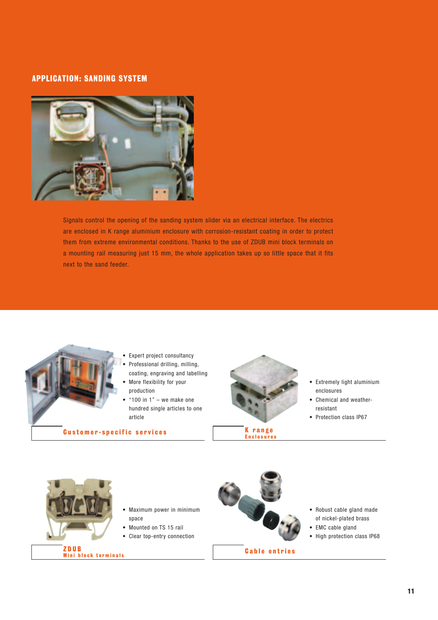#### APPLICATION: SANDING SYSTEM

![](_page_10_Picture_1.jpeg)

Signals control the opening of the sanding system slider via an electrical interface. The electrics are enclosed in K range aluminium enclosure with corrosion-resistant coating in order to protect them from extreme environmental conditions. Thanks to the use of ZDUB mini block terminals on a mounting rail measuring just 15 mm, the whole application takes up so little space that it fits next to the sand feeder.

![](_page_10_Picture_3.jpeg)

- Expert project consultancy
- Professional drilling, milling, coating, engraving and labelling • More flexibility for your
- production
- " $100$  in  $1"$  we make one hundred single articles to one article

Customer-specific services

![](_page_10_Picture_9.jpeg)

K range Enclosures

- Extremely light aluminium enclosures
- Chemical and weatherresistant
- Protection class IP67

![](_page_10_Picture_14.jpeg)

Mini block terminals

- Maximum power in minimum space
- Mounted on TS 15 rail
- Clear top-entry connection

![](_page_10_Picture_18.jpeg)

Cable entries

- Robust cable gland made of nickel-plated brass
- EMC cable gland
- High protection class IP68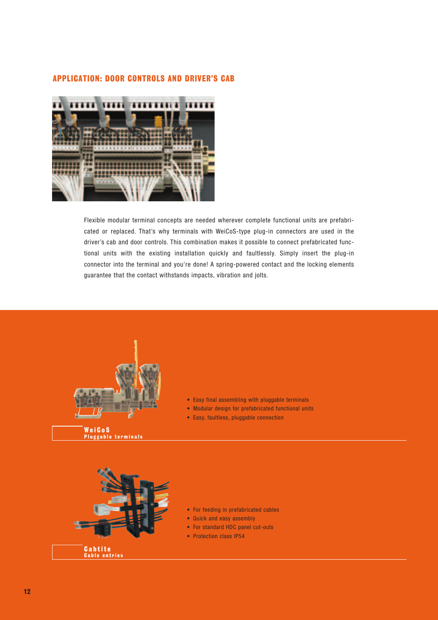#### APPLICATION: DOOR CONTROLS AND DRIVER'S CAB

![](_page_11_Picture_1.jpeg)

Flexible modular terminal concepts are needed wherever complete functional units are prefabricated or replaced. That's why terminals with WeiCoS-type plug-in connectors are used in the driver's cab and door controls. This combination makes it possible to connect prefabricated functional units with the existing installation quickly and faultlessly. Simply insert the plug-in connector into the terminal and you're done! A spring-powered contact and the locking elements guarantee that the contact withstands impacts, vibration and jolts.

![](_page_11_Picture_3.jpeg)

WeiCoS Pluggable terminals

![](_page_11_Picture_5.jpeg)

- Easy final assembling with pluggable terminals
- Modular design for prefabricated functional units
- Easy, faultless, pluggable connection

- For feeding in prefabricated cables
- Quick and easy assembly
- For standard HDC panel cut-outs
- Protection class IP54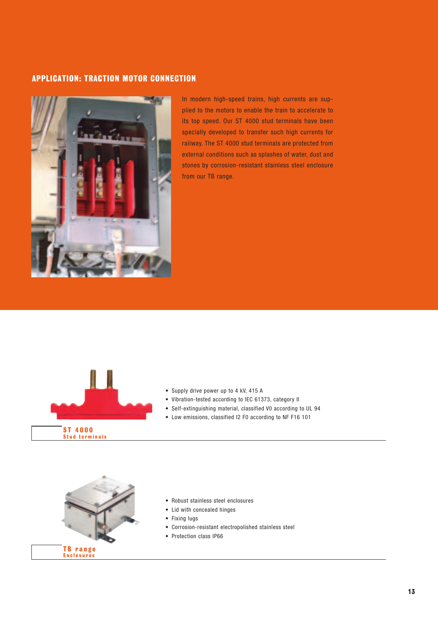#### APPLICATION: TRACTION MOTOR CONNECTION

![](_page_12_Picture_1.jpeg)

In modern high-speed trains, high currents are supplied to the motors to enable the train to accelerate to its top speed. Our ST 4000 stud terminals have been specially developed to transfer such high currents for railway. The ST 4000 stud terminals are protected from external conditions such as splashes of water, dust and stones by corrosion-resistant stainless steel enclosure from our TB range.

![](_page_12_Picture_3.jpeg)

![](_page_12_Picture_4.jpeg)

- Vibration-tested according to IEC 61373, category II
- Self-extinguishing material, classified V0 according to UL 94
- Low emissions, classified I2 F0 according to NF F16 101

![](_page_12_Picture_8.jpeg)

- Robust stainless steel enclosures
- Lid with concealed hinges
- Fixing lugs
- Corrosion-resistant electropolished stainless steel
- Protection class IP66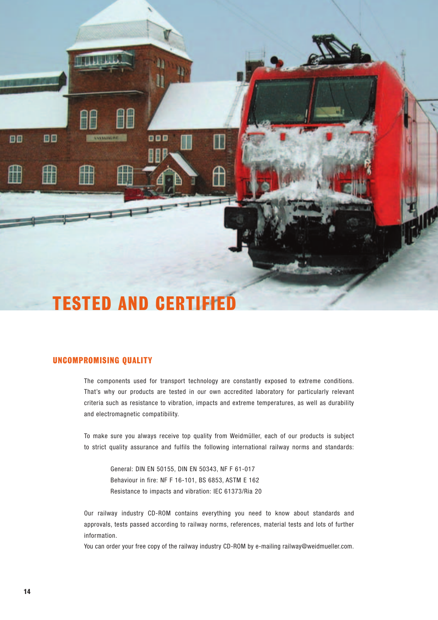![](_page_13_Picture_0.jpeg)

#### UNCOMPROMISING QUALITY

The components used for transport technology are constantly exposed to extreme conditions. That's why our products are tested in our own accredited laboratory for particularly relevant criteria such as resistance to vibration, impacts and extreme temperatures, as well as durability and electromagnetic compatibility.

To make sure you always receive top quality from Weidmüller, each of our products is subject to strict quality assurance and fulfils the following international railway norms and standards:

General: DIN EN 50155, DIN EN 50343, NF F 61-017 Behaviour in fire: NF F 16-101, BS 6853, ASTM E 162 Resistance to impacts and vibration: IEC 61373/Ria 20

Our railway industry CD-ROM contains everything you need to know about standards and approvals, tests passed according to railway norms, references, material tests and lots of further information.

You can order your free copy of the railway industry CD-ROM by e-mailing railway@weidmueller.com.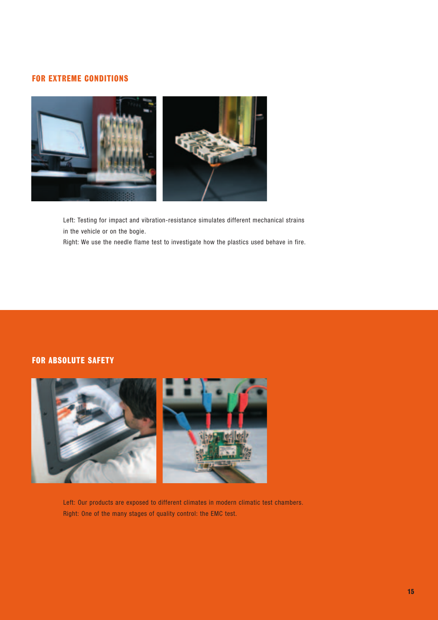#### FOR EXTREME CONDITIONS

![](_page_14_Picture_1.jpeg)

Left: Testing for impact and vibration-resistance simulates different mechanical strains in the vehicle or on the bogie.

Right: We use the needle flame test to investigate how the plastics used behave in fire.

#### FOR ABSOLUTE SAFETY

![](_page_14_Picture_5.jpeg)

Left: Our products are exposed to different climates in modern climatic test chambers. Right: One of the many stages of quality control: the EMC test.